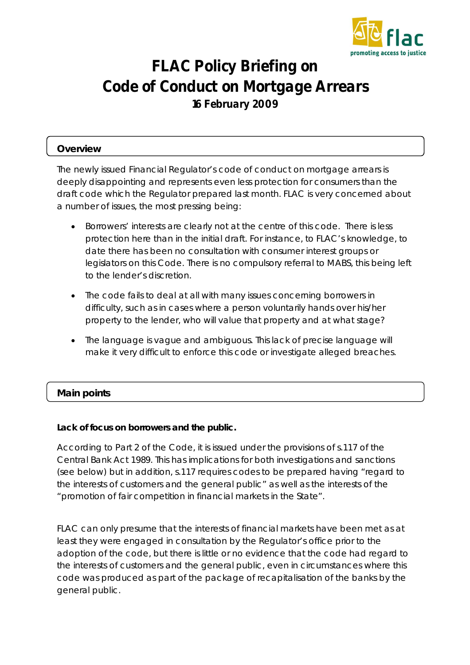

# **FLAC Policy Briefing on Code of Conduct on Mortgage Arrears 16 February 2009**

# **Overview**

The newly issued Financial Regulator's code of conduct on mortgage arrears is deeply disappointing and represents even less protection for consumers than the draft code which the Regulator prepared last month. FLAC is very concerned about a number of issues, the most pressing being:

- Borrowers' interests are clearly not at the centre of this code. There is less protection here than in the initial draft. For instance, to FLAC's knowledge, to date there has been no consultation with consumer interest groups or legislators on this Code. There is no compulsory referral to MABS, this being left to the lender's discretion.
- The code fails to deal at all with many issues concerning borrowers in difficulty, such as in cases where a person voluntarily hands over his/her property to the lender, who will value that property and at what stage?
- The language is vague and ambiguous. This lack of precise language will make it very difficult to enforce this code or investigate alleged breaches.

# **Main points**

## **Lack of focus on borrowers and the public.**

According to Part 2 of the Code, it is issued under the provisions of s.117 of the Central Bank Act 1989. This has implications for both investigations and sanctions (see below) but in addition, s.117 requires codes to be prepared having "regard to the interests of customers and the general public" as well as the interests of the "promotion of fair competition in financial markets in the State".

FLAC can only presume that the interests of financial markets have been met as at least they were engaged in consultation by the Regulator's office prior to the adoption of the code, but there is little or no evidence that the code had regard to the interests of customers and the general public, even in circumstances where this code was produced as part of the package of recapitalisation of the banks by the general public.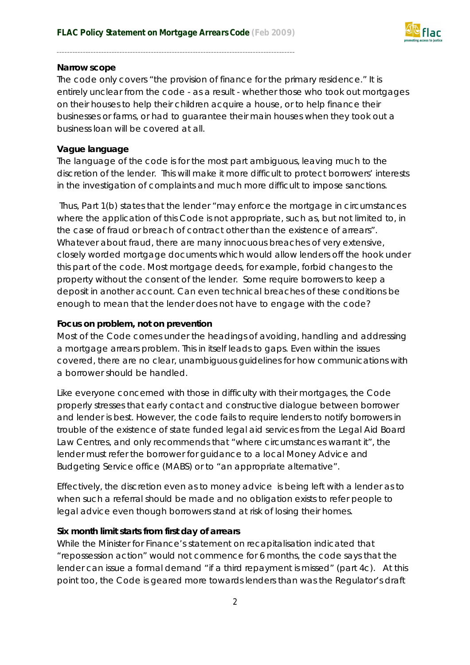

#### **Narrow scope**

The code only covers "the provision of finance for the primary residence." It is entirely unclear from the code - as a result - whether those who took out mortgages on their houses to help their children acquire a house, or to help finance their businesses or farms, or had to guarantee their main houses when they took out a business loan will be covered at all.

#### **Vague language**

The language of the code is for the most part ambiguous, leaving much to the discretion of the lender. This will make it more difficult to protect borrowers' interests in the investigation of complaints and much more difficult to impose sanctions.

Thus, Part 1(b) states that the lender "may enforce the mortgage in circumstances where the application of this Code is not appropriate, such as, but not limited to, in the case of fraud or breach of contract other than the existence of arrears". Whatever about fraud, there are many innocuous breaches of very extensive, closely worded mortgage documents which would allow lenders off the hook under this part of the code. Most mortgage deeds, for example, forbid changes to the property without the consent of the lender. Some require borrowers to keep a deposit in another account. Can even technical breaches of these conditions be enough to mean that the lender does not have to engage with the code?

## **Focus on problem, not on prevention**

Most of the Code comes under the headings of avoiding, handling and addressing a mortgage arrears problem. This in itself leads to gaps. Even within the issues covered, there are no clear, unambiguous guidelines for how communications with a borrower should be handled.

Like everyone concerned with those in difficulty with their mortgages, the Code properly stresses that early contact and constructive dialogue between borrower and lender is best. However, the code fails to require lenders to notify borrowers in trouble of the existence of state funded legal aid services from the Legal Aid Board Law Centres, and only recommends that "where circumstances warrant it", the lender must refer the borrower for guidance to a local Money Advice and Budgeting Service office (MABS) or to "an appropriate alternative".

Effectively, the discretion even as to money advice is being left with a lender as to when such a referral should be made and no obligation exists to refer people to legal advice even though borrowers stand at risk of losing their homes.

## **Six month limit starts from first day of arrears**

While the Minister for Finance's statement on recapitalisation indicated that "repossession action" would not commence for 6 months, the code says that the lender can issue a formal demand "if a third repayment is missed" (part 4c). At this point too, the Code is geared more towards lenders than was the Regulator's draft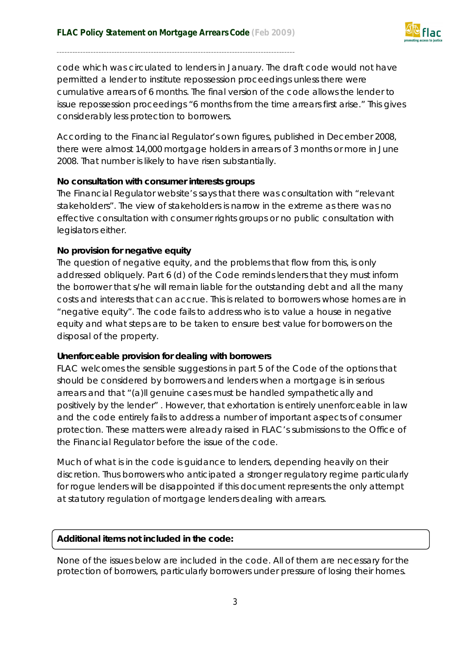

code which was circulated to lenders in January. The draft code would not have permitted a lender to institute repossession proceedings unless there were cumulative arrears of 6 months. The final version of the code allows the lender to issue repossession proceedings "*6 months from the time arrears first arise*." This gives considerably less protection to borrowers.

According to the Financial Regulator's own figures, published in December 2008, there were almost 14,000 mortgage holders in arrears of 3 months or more in June 2008. That number is likely to have risen substantially.

## **No consultation with consumer interests groups**

The Financial Regulator website's says that there was consultation with "relevant stakeholders". The view of stakeholders is narrow in the extreme as there was no effective consultation with consumer rights groups or no public consultation with legislators either.

## **No provision for negative equity**

The question of negative equity, and the problems that flow from this, is only addressed obliquely. Part 6 (d) of the Code reminds lenders that they must inform the borrower that s/he will remain liable for the outstanding debt and all the many costs and interests that can accrue. This is related to borrowers whose homes are in "negative equity". The code fails to address who is to value a house in negative equity and what steps are to be taken to ensure best value for borrowers on the disposal of the property.

## **Unenforceable provision for dealing with borrowers**

FLAC welcomes the sensible suggestions in part 5 of the Code of the options that should be considered by borrowers and lenders when a mortgage is in serious arrears and that "(a)ll genuine cases must be handled sympathetically and positively by the lender" . However, that exhortation is entirely unenforceable in law and the code entirely fails to address a number of important aspects of consumer protection. These matters were already raised in FLAC's submissions to the Office of the Financial Regulator before the issue of the code.

Much of what is in the code is guidance to lenders, depending heavily on their discretion. Thus borrowers who anticipated a stronger regulatory regime particularly for rogue lenders will be disappointed if this document represents the only attempt at statutory regulation of mortgage lenders dealing with arrears.

## *Additional items not included in the code:*

None of the issues below are included in the code. All of them are necessary for the protection of borrowers, particularly borrowers under pressure of losing their homes.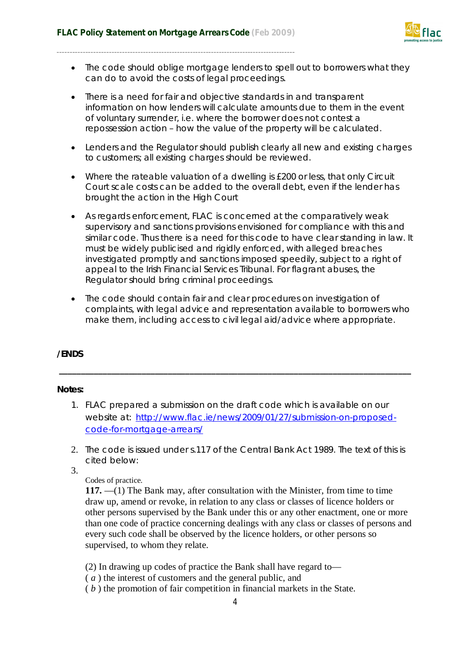

- The code should oblige mortgage lenders to spell out to borrowers what they can do to avoid the costs of legal proceedings.
- There is a need for fair and objective standards in and transparent information on how lenders will calculate amounts due to them in the event of voluntary surrender, i.e. where the borrower does not contest a repossession action – how the value of the property will be calculated.
- Lenders and the Regulator should publish clearly all new and existing charges to customers; all existing charges should be reviewed.
- Where the rateable valuation of a dwelling is £200 or less, that only Circuit Court scale costs can be added to the overall debt, even if the lender has brought the action in the High Court
- As regards enforcement, FLAC is concerned at the comparatively weak supervisory and sanctions provisions envisioned for compliance with this and similar code. Thus there is a need for this code to have clear standing in law. It must be widely publicised and rigidly enforced, with alleged breaches investigated promptly and sanctions imposed speedily, subject to a right of appeal to the Irish Financial Services Tribunal. For flagrant abuses, the Regulator should bring criminal proceedings.
- The code should contain fair and clear procedures on investigation of complaints, with legal advice and representation available to borrowers who make them, including access to civil legal aid/advice where appropriate.

## **/ENDS**

## **Notes:**

1. FLAC prepared a submission on the draft code which is available on our website at: http://www.flac.ie/news/2009/01/27/submission-on-proposedcode-for-mortgage-arrears/

**\_\_\_\_\_\_\_\_\_\_\_\_\_\_\_\_\_\_\_\_\_\_\_\_\_\_\_\_\_\_\_\_\_\_\_\_\_\_\_\_\_\_\_\_\_\_\_\_\_\_\_\_\_\_\_\_\_\_\_\_\_\_\_\_\_\_\_\_\_\_\_\_\_\_\_\_\_\_\_\_\_**

- 2. The code is issued under s.117 of the Central Bank Act 1989. The text of this is cited below:
- 3.

## Codes of practice.

**117.** —(1) The Bank may, after consultation with the Minister, from time to time draw up, amend or revoke, in relation to any class or classes of licence holders or other persons supervised by the Bank under this or any other enactment, one or more than one code of practice concerning dealings with any class or classes of persons and every such code shall be observed by the licence holders, or other persons so supervised, to whom they relate.

- (2) In drawing up codes of practice the Bank shall have regard to—
- ( *a* ) the interest of customers and the general public, and
- ( *b* ) the promotion of fair competition in financial markets in the State.